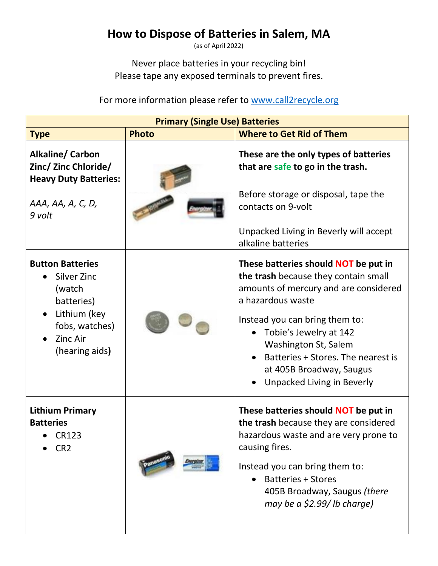## **How to Dispose of Batteries in Salem, MA**

(as of April 2022)

Never place batteries in your recycling bin! Please tape any exposed terminals to prevent fires.

For more information please refer to [www.call2recycle.org](http://www.call2recycle.org/)

| <b>Primary (Single Use) Batteries</b>                                                                                                 |              |                                                                                                                                                                                                                                                                                                                                |
|---------------------------------------------------------------------------------------------------------------------------------------|--------------|--------------------------------------------------------------------------------------------------------------------------------------------------------------------------------------------------------------------------------------------------------------------------------------------------------------------------------|
| <b>Type</b>                                                                                                                           | <b>Photo</b> | <b>Where to Get Rid of Them</b>                                                                                                                                                                                                                                                                                                |
| <b>Alkaline/ Carbon</b><br>Zinc/ Zinc Chloride/<br><b>Heavy Duty Batteries:</b><br>AAA, AA, A, C, D,                                  |              | These are the only types of batteries<br>that are safe to go in the trash.<br>Before storage or disposal, tape the<br>contacts on 9-volt                                                                                                                                                                                       |
| 9 volt                                                                                                                                |              | Unpacked Living in Beverly will accept<br>alkaline batteries                                                                                                                                                                                                                                                                   |
| <b>Button Batteries</b><br>Silver Zinc<br>(watch<br>batteries)<br>Lithium (key<br>fobs, watches)<br><b>Zinc Air</b><br>(hearing aids) |              | These batteries should NOT be put in<br>the trash because they contain small<br>amounts of mercury and are considered<br>a hazardous waste<br>Instead you can bring them to:<br>Tobie's Jewelry at 142<br>Washington St, Salem<br>Batteries + Stores. The nearest is<br>at 405B Broadway, Saugus<br>Unpacked Living in Beverly |
| <b>Lithium Primary</b><br><b>Batteries</b><br><b>CR123</b><br>CR <sub>2</sub>                                                         |              | These batteries should NOT be put in<br>the trash because they are considered<br>hazardous waste and are very prone to<br>causing fires.<br>Instead you can bring them to:<br><b>Batteries + Stores</b><br>405B Broadway, Saugus (there<br>may be a \$2.99/ lb charge)                                                         |